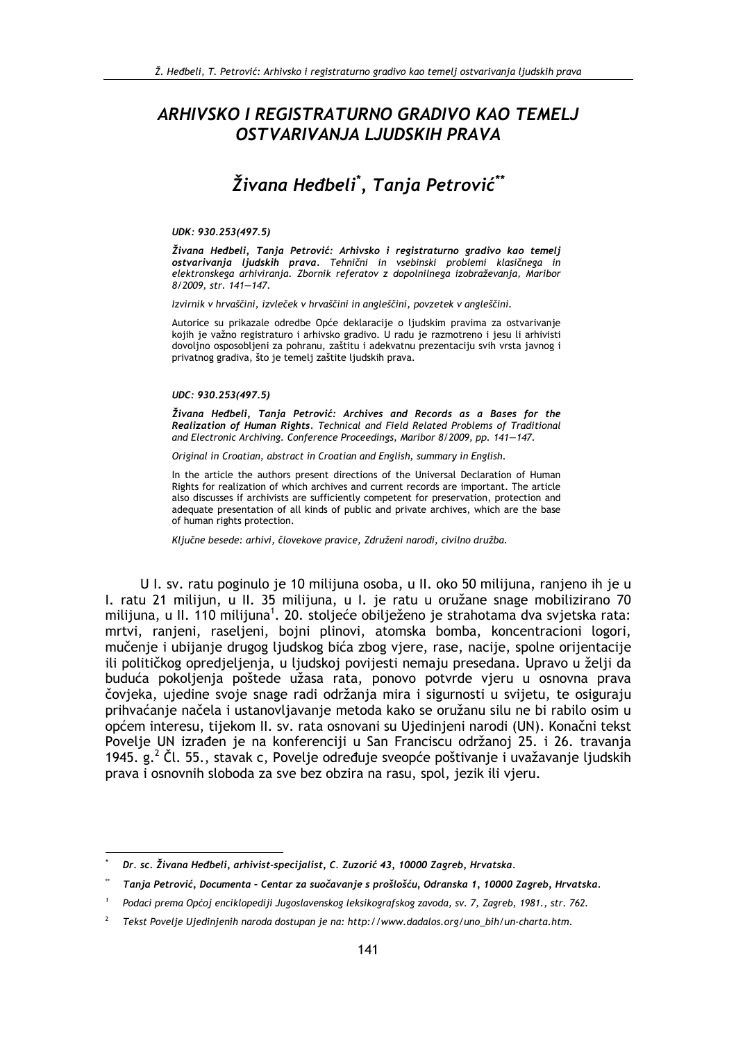# ARHIVSKO I REGISTRATURNO GRADIVO KAO TEMELJ OSTVARIVANJA LJUDSKIH PRAVA

# Živana Heđbeli<sup>\*</sup>, Tania Petrović<sup>\*\*</sup>

#### UDK: 930.253(497.5)

Živana Heđbeli. Tania Petrović: Arhivsko i registraturno gradivo kao temeli ostvarivanja ljudskih prava. Tehnični in vsebinski problemi klasičnega in elektronskega arhiviranja. Zbornik referatov z dopolnilnega izobraževanja, Maribor 8/2009, str. 141-147.

Izvirnik v hrvaščini, izvleček v hrvaščini in angleščini, povzetek v angleščini.

Autorice su prikazale odredbe Opće deklaracije o ljudskim pravima za ostvarivanje kojih je važno registraturo i arhivsko gradivo. U radu je razmotreno i jesu li arhivisti dovoljno osposobljeni za pohranu, zaštitu i adekvatnu prezentaciju svih vrsta javnog i privatnog gradiva, što je temelj zaštite ljudskih prava.

#### UDC: 930.253(497.5)

Živana Heđbeli, Tanja Petrović: Archives and Records as a Bases for the Realization of Human Rights. Technical and Field Related Problems of Traditional and Electronic Archiving. Conference Proceedings, Maribor 8/2009, pp. 141-147.

Original in Croatian, abstract in Croatian and English, summary in English.

In the article the authors present directions of the Universal Declaration of Human Rights for realization of which archives and current records are important. The article also discusses if archivists are sufficiently competent for preservation, protection and adequate presentation of all kinds of public and private archives, which are the base of human rights protection.

Ključne besede: arhivi, človekove pravice, Združeni narodi, civilno družba.

U I. sv. ratu poginulo je 10 milijuna osoba, u II. oko 50 milijuna, ranjeno ih je u I. ratu 21 milijun, u II. 35 milijuna, u I. je ratu u oružane snage mobilizirano 70 milijuna, u II. 110 milijuna<sup>1</sup>. 20. stoljeće obilježeno je strahotama dva svjetska rata: mrtvi, ranjeni, raseljeni, bojni plinovi, atomska bomba, koncentracioni logori, mučenje i ubijanje drugog ljudskog bića zbog vjere, rase, nacije, spolne orijentacije ili političkog opredjeljenja, u ljudskoj povijesti nemaju presedana. Upravo u želji da buduća pokoljenja poštede užasa rata, ponovo potvrde vjeru u osnovna prava čovjeka, ujedine svoje snage radi održanja mira i sigurnosti u svijetu, te osiguraju prihvaćanje načela i ustanovljavanje metoda kako se oružanu silu ne bi rabilo osim u općem interesu, tijekom II. sv. rata osnovani su Ujedinjeni narodi (UN). Konačni tekst Povelje UN izrađen je na konferenciji u San Franciscu održanoj 25. i 26. travanja 1945. g.<sup>2</sup> Čl. 55., stavak c, Povelje određuje sveopće poštivanje i uvažavanje ljudskih prava i osnovnih sloboda za sve bez obzira na rasu, spol, jezik ili vjeru.

Dr. sc. Živana Hedbeli, arhivist-specijalist, C. Zuzorić 43, 10000 Zagreb, Hrvatska.

Tanja Petrović, Documenta - Centar za suočavanje s prošlošću, Odranska 1, 10000 Zagreb, Hrvatska.

Podaci prema Općoj enciklopediji Jugoslavenskog leksikografskog zavoda, sv. 7, Zagreb, 1981., str. 762.

Tekst Povelje Ujedinjenih naroda dostupan je na: http://www.dadalos.org/uno\_bih/un-charta.htm.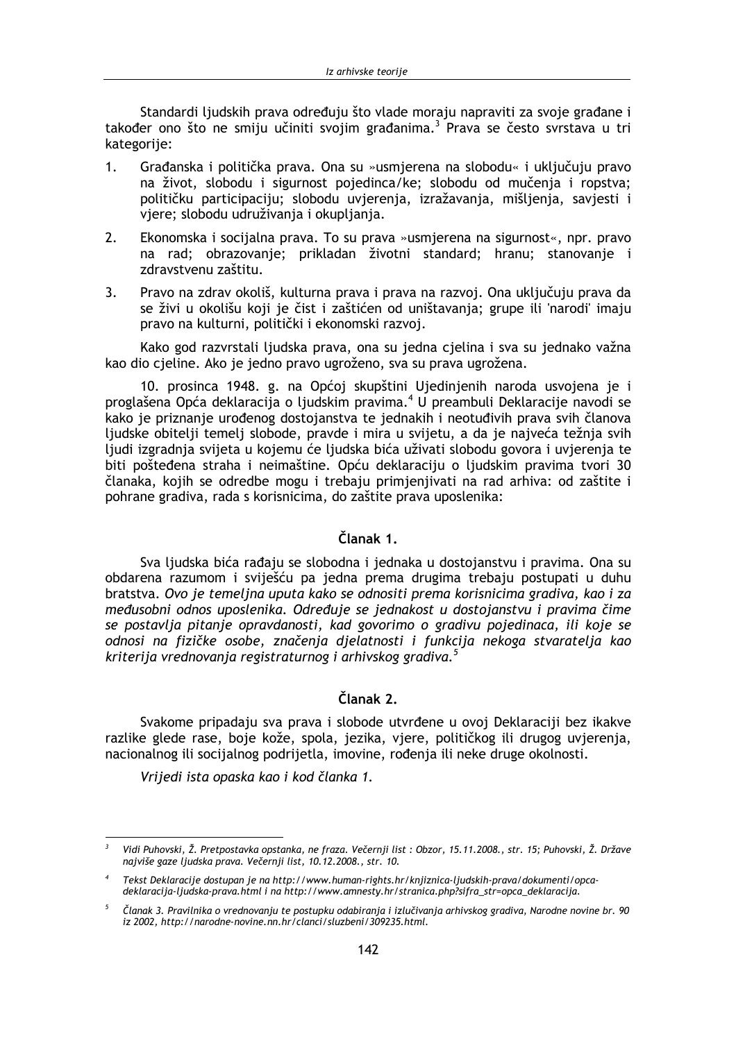Standardi ljudskih prava određuju što vlade moraju napraviti za svoje građane i također ono što ne smiju učiniti svojim građanima.<sup>3</sup> Prava se često svrstava u tri kategorije:

- $1<sub>1</sub>$ Građanska i politička prava. Ona su »usmierena na slobodu« i ukliučuju pravo na život, slobodu i sigurnost pojedinca/ke; slobodu od mučenja i ropstva; političku participaciju; slobodu uvjerenja, izražavanja, mišljenja, savjesti i vjere; slobodu udruživanja i okupljanja.
- $2.$ Ekonomska i socijalna prava. To su prava »usmjerena na sigurnost«, npr. pravo na rad; obrazovanje; prikladan životni standard; hranu; stanovanje i zdravstvenu zaštitu.
- $\overline{3}$ . Pravo na zdrav okoliš, kulturna prava i prava na razvoj. Ona uključuju prava da se živi u okolišu koji je čist i zaštićen od uništavanja; grupe ili 'narodi' imaju pravo na kulturni, politički i ekonomski razvoj.

Kako god razvrstali ljudska prava, ona su jedna cjelina i sva su jednako važna kao dio cieline. Ako je jedno pravo ugroženo, sva su prava ugrožena.

10. prosinca 1948. g. na Općoj skupštini Ujedinjenih naroda usvojena je i proglašena Opća deklaracija o ljudskim pravima.<sup>4</sup> U preambuli Deklaracije navodi se kako je priznanje urođenog dostojanstva te jednakih i neotuđivih prava svih članova ljudske obitelji temelj slobode, pravde i mira u svijetu, a da je najveća težnja svih ljudi izgradnja svijeta u kojemu će ljudska bića uživati slobodu govora i uvjerenja te biti pošteđena straha i neimaštine. Opću deklaraciju o ljudskim pravima tvori 30 članaka, kojih se odredbe mogu i trebaju primjenjivati na rad arhiva: od zaštite i pohrane gradiva, rada s korisnicima, do zaštite prava uposlenika:

#### Članak 1

Sva ljudska bića rađaju se slobodna i jednaka u dostojanstvu i pravima. Ona su obdarena razumom i sviješću pa jedna prema drugima trebaju postupati u duhu bratstva. Ovo je temeljna uputa kako se odnositi prema korisnicima gradiva, kao i za međusobni odnos uposlenika. Određuje se jednakost u dostojanstvu i pravima čime se postavlja pitanje opravdanosti, kad govorimo o gradivu pojedinaca, ili koje se odnosi na fizičke osobe, značenja djelatnosti i funkcija nekoga stvaratelja kao kriterija vrednovanja registraturnog i arhivskog gradiva.<sup>5</sup>

#### Članak 2

Svakome pripadaju sva prava i slobode utvrđene u ovoj Deklaraciji bez ikakve razlike glede rase, boje kože, spola, jezika, viere, političkog ili drugog uvierenia, nacionalnog ili socijalnog podrijetla, imovine, rođenia ili neke druge okolnosti.

Vrijedi ista opaska kao i kod članka 1.

Vidi Puhovski, Ž. Pretpostavka opstanka, ne fraza. Večernji list : Obzor, 15.11.2008., str. 15; Puhovski, Ž. Države najviše gaze ljudska prava. Večernji list, 10.12.2008., str. 10.

<sup>4</sup> Tekst Deklaracije dostupan je na http://www.human-rights.hr/knjiznica-ljudskih-prava/dokumenti/opcadeklaracija-ljudska-prava.html i na http://www.amnesty.hr/stranica.php?sifra\_str=opca\_deklaracija.

 $5^{\circ}$ Članak 3. Pravilnika o vrednovanju te postupku odabiranja i izlučivanja arhivskog gradiva, Narodne novine br. 90 iz 2002, http://narodne-novine.nn.hr/clanci/sluzbeni/309235.html.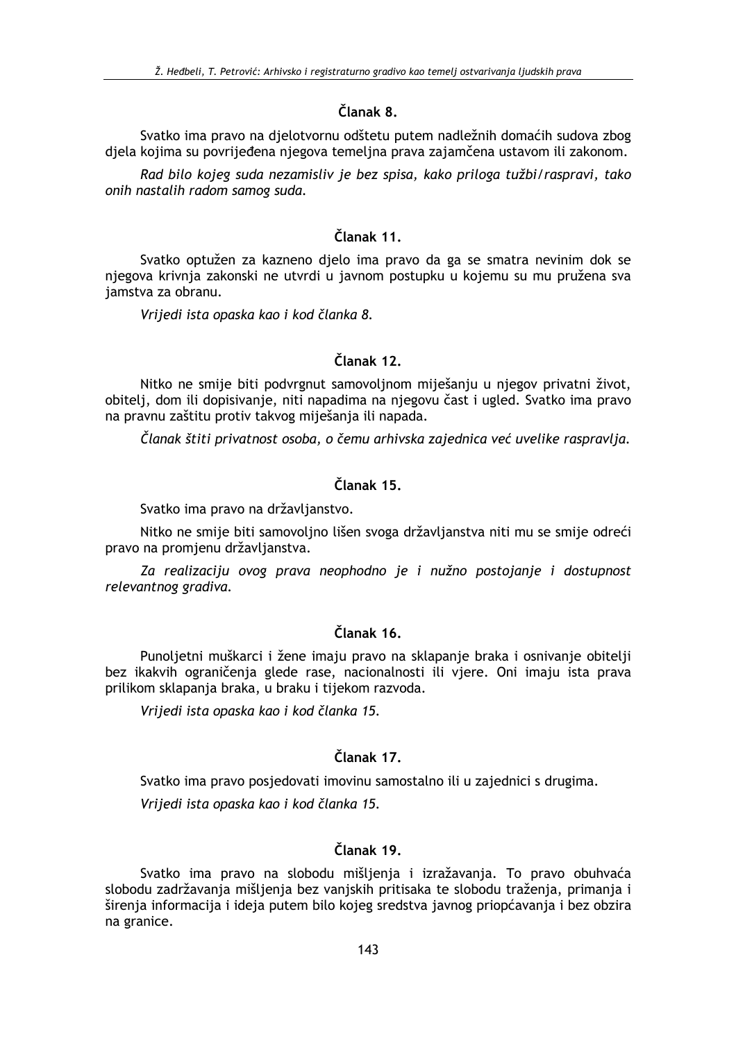#### Članak 8

Svatko ima pravo na dielotvornu odštetu putem nadležnih domaćih sudova zbog djela kojima su povrijeđena njegova temeljna prava zajamčena ustavom ili zakonom.

Rad bilo kojeg suda nezamisliv je bez spisa, kako priloga tužbi/raspravi, tako onih nastalih radom samog suda.

### Članak 11.

Svatko optužen za kazneno djelo ima pravo da ga se smatra nevinim dok se njegova krivnja zakonski ne utvrdi u javnom postupku u kojemu su mu pružena sva jamstva za obranu.

Vrijedi ista opaska kao i kod članka 8.

#### Članak 12.

Nitko ne smije biti podvrgnut samovoljnom miješanju u njegov privatni život, obitelj, dom ili dopisivanje, niti napadima na njegovu čast i ugled. Svatko ima pravo na pravnu zaštitu protiv takvog miješanja ili napada.

Članak štiti privatnost osoba, o čemu arhivska zajednica već uvelike raspravlja.

### Članak 15.

Svatko ima pravo na državljanstvo.

Nitko ne smije biti samovoljno lišen svoga državljanstva niti mu se smije odreći pravo na promjenu državljanstva.

Za realizaciju ovog prava neophodno je i nužno postojanje i dostupnost relevantnog gradiva.

#### Članak 16

Punolietni muškarci i žene imaju pravo na sklapanje braka i osnivanje obitelji bez ikakvih ograničenia glede rase, nacionalnosti ili viere. Oni imaju ista prava prilikom sklapania braka, u braku i tijekom razvoda.

Vrijedi ista opaska kao i kod članka 15.

# Članak 17

Svatko ima pravo posjedovati imovinu samostalno ili u zajednici s drugima.

Vrijedi ista opaska kao i kod članka 15.

### Članak 19.

Svatko ima pravo na slobodu mišljenja i izražavanja. To pravo obuhvaća slobodu zadržavanja mišljenja bez vanjskih pritisaka te slobodu traženja, primanja i širenja informacija i ideja putem bilo kojeg sredstva javnog priopćavanja i bez obzira na granice.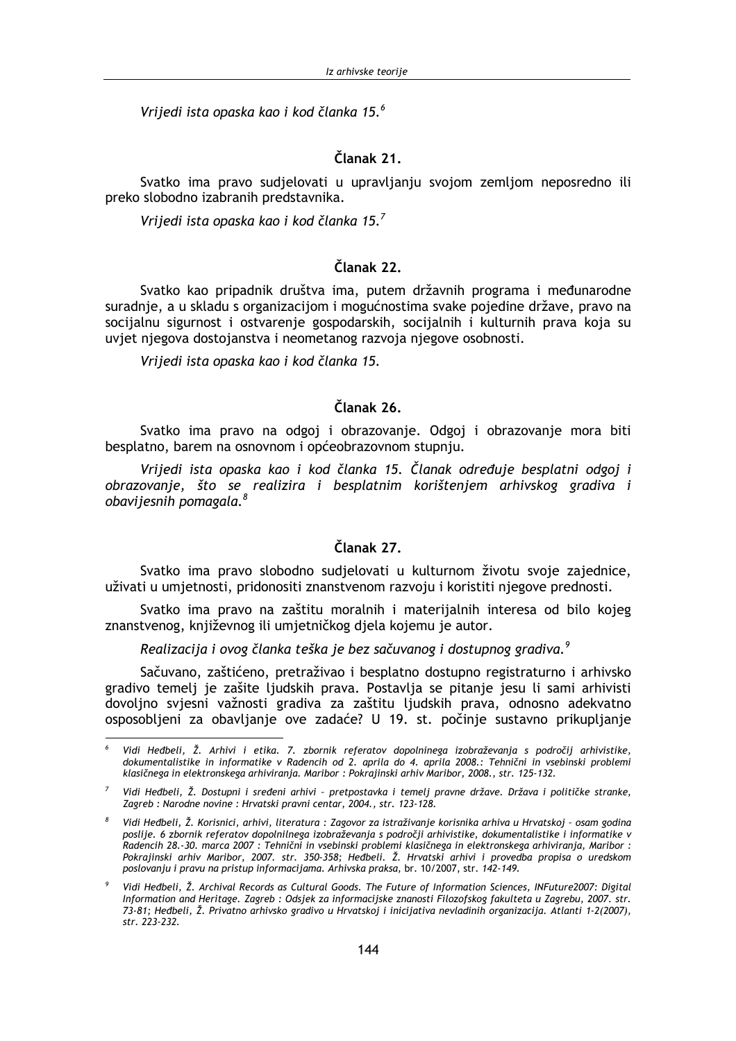Vrijedi ista opaska kao i kod članka 15.<sup>6</sup>

### Članak 21.

Svatko ima pravo sudjelovati u upravljanju svojom zemljom neposredno ili preko slobodno izabranih predstavnika.

Vrijedi ista opaska kao i kod članka 15.7

## Članak 22.

Svatko kao pripadnik društva ima, putem državnih programa i međunarodne suradnje, a u skladu s organizacijom i mogućnostima svake pojedine države, pravo na socijalnu sigurnost i ostvarenje gospodarskih, socijalnih i kulturnih prava koja su uvjet njegova dostojanstva i neometanog razvoja njegove osobnosti.

Vrijedi ista opaska kao i kod članka 15.

#### Članak 26.

Svatko ima pravo na odgoj i obrazovanje. Odgoj i obrazovanje mora biti besplatno, barem na osnovnom i općeobrazovnom stupnju.

Vrijedi ista opaska kao i kod članka 15. Članak određuje besplatni odgoj i obrazovanje, što se realizira i besplatnim korištenjem arhivskog gradiva i obavijesnih pomagala.<sup>8</sup>

#### Članak 27.

Svatko ima pravo slobodno sudjelovati u kulturnom životu svoje zajednice, uživati u umjetnosti, pridonositi znanstvenom razvoju i koristiti njegove prednosti.

Svatko ima pravo na zaštitu moralnih i materijalnih interesa od bilo kojeg znanstvenog, književnog ili umjetničkog djela kojemu je autor.

Realizacija i ovog članka teška je bez sačuvanog i dostupnog gradiva.<sup>9</sup>

Sačuvano, zaštićeno, pretraživao i besplatno dostupno registraturno i arhivsko gradivo temelj je zašite ljudskih prava. Postavlja se pitanje jesu li sami arhivisti dovoljno svjesni važnosti gradiva za zaštitu ljudskih prava, odnosno adekvatno osposobljeni za obavljanje ove zadaće? U 19. st. počinje sustavno prikupljanje

Vidi Hedbeli, Ž. Arhivi i etika. 7. zbornik referatov dopolninega izobraževania s področii arhivistike. dokumentalistike in informatike v Radencih od 2. aprila do 4. aprila 2008.: Tehnični in vsebinski problemi klasičnega in elektronskega arhiviranja. Maribor : Pokrajinski arhiv Maribor, 2008., str. 125-132.

Vidi Heđbeli, Ž. Dostupni i sređeni arhivi - pretpostavka i temelj pravne države. Država i političke stranke, Zagreb : Narodne novine : Hrvatski pravni centar, 2004., str. 123-128.

Vidi Heđbeli. Ž. Korisnici, arhivi, literatura : Zagovor za istraživanie korisnika arhiva u Hrvatskoj - osam godina poslije. 6 zbornik referatov dopolnilnega izobraževanja s področji arhivistike, dokumentalistike i informatike v Radencih 28.-30. marca 2007 : Tehnični in vsebinski problemi klasičnega in elektronskega arhiviranja, Maribor : Pokrajinski arhiv Maribor, 2007. str. 350-358; Hedbeli. Ž. Hrvatski arhivi i provedba propisa o uredskom poslovanju i pravu na pristup informacijama. Arhivska praksa, br. 10/2007, str. 142-149.

Vidi Hedbeli, Ž. Archival Records as Cultural Goods. The Future of Information Sciences, INFuture2007: Digital Information and Heritage. Zagreb : Odsjek za informacijske znanosti Filozofskog fakulteta u Zagrebu, 2007. str. 73-81; Hedbeli, Ž. Privatno arhivsko gradivo u Hrvatskoj i inicijativa nevladinih organizacija. Atlanti 1-2(2007), str. 223-232.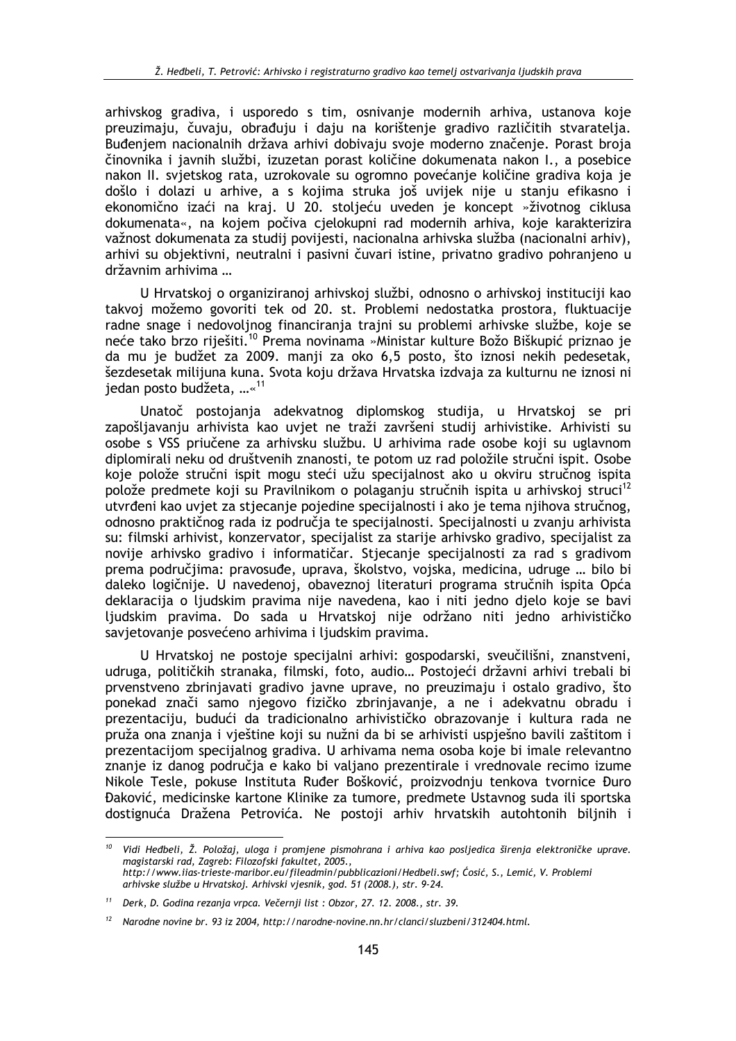arhivskog gradiva, i usporedo s tim, osnivanje modernih arhiva, ustanova koje preuzimaju, čuvaju, obrađuju i daju na korištenje gradivo različitih stvaratelja. Buđeniem nacionalnih država arhivi dobivaju svoje moderno značenie. Porast broja činovnika i javnih službi, izuzetan porast količine dokumenata nakon I., a posebice nakon II. svjetskog rata, uzrokovale su ogromno povećanje količine gradiva koja je došlo i dolazi u arhive, a s kojima struka još uvijek nije u stanju efikasno i ekonomično izaći na kraj. U 20. stoljeću uveden je koncept »životnog ciklusa dokumenata«, na kojem počiva cjelokupni rad modernih arhiva, koje karakterizira važnost dokumenata za studij povijesti, nacionalna arhivska služba (nacionalni arhiv), arhivi su objektivni, neutralni i pasivni čuvari istine, privatno gradivo pohranjeno u državnim arhivima ...

U Hrvatskoj o organiziranoj arhivskoj službi, odnosno o arhivskoj instituciji kao takvoj možemo govoriti tek od 20. st. Problemi nedostatka prostora, fluktuacije radne snage i nedovoljnog financiranja trajni su problemi arhivske službe, koje se neće tako brzo riješiti.<sup>10</sup> Prema novinama »Ministar kulture Božo Biškupić priznao je da mu je budžet za 2009. manji za oko 6,5 posto, što iznosi nekih pedesetak, šezdesetak milijuna kuna. Svota koju država Hrvatska izdvaja za kulturnu ne iznosi ni jedan posto budžeta. ...«<sup>11</sup>

Unatoč postojanja adekvatnog diplomskog studija, u Hrvatskoj se pri zapošliavanju arhivista kao uviet ne traži završeni studij arhivistike. Arhivisti su osobe s VSS priučene za arhivsku službu. U arhivima rade osobe koji su uglavnom diplomirali neku od društvenih znanosti, te potom uz rad položile stručni ispit. Osobe koje polože stručni ispit mogu steći užu specijalnost ako u okviru stručnog ispita polože predmete koji su Pravilnikom o polaganju stručnih ispita u arhivskoj struci<sup>12</sup> utvrđeni kao uvjet za stjecanje pojedine specijalnosti i ako je tema njihova stručnog, odnosno praktičnog rada iz područia te specijalnosti. Specijalnosti u zvanju arhivista su: filmski arhivist, konzervator, specijalist za starije arhivsko gradivo, specijalist za novije arhivsko gradivo i informatičar. Stjecanje specijalnosti za rad s gradivom prema područjima: pravosuđe, uprava, školstvo, vojska, medicina, udruge ... bilo bi daleko logičnije. U navedenoj, obaveznoj literaturi programa stručnih ispita Opća deklaracija o ljudskim pravima nije navedena, kao i niti jedno djelo koje se bavi liudskim pravima. Do sada u Hrvatskoj nije održano niti jedno arhivističko savjetovanje posvećeno arhivima i ljudskim pravima.

U Hrvatskoj ne postoje specijalni arhivi: gospodarski, sveučilišni, znanstveni, udruga, političkih stranaka, filmski, foto, audio... Postojeći državni arhivi trebali bi prvenstveno zbrinjavati gradivo javne uprave, no preuzimaju i ostalo gradivo, što ponekad znači samo njegovo fizičko zbrinjavanje, a ne i adekvatnu obradu i prezentaciju, budući da tradicionalno arhivističko obrazovanje i kultura rada ne pruža ona znanja i vještine koji su nužni da bi se arhivisti uspješno bavili zaštitom i prezentacijom specijalnog gradiva. U arhivama nema osoba koje bi imale relevantno znanie iz danog područia e kako bi valiano prezentirale i vrednovale recimo izume Nikole Tesle, pokuse Instituta Ruđer Bošković, proizvodnju tenkova tvornice Đuro Daković, medicinske kartone Klinike za tumore, predmete Ustavnog suda ili sportska dostignuća Dražena Petrovića. Ne postoji arhiv hrvatskih autohtonih biljnih i

Vidi Heđbeli, Ž. Položaj, uloga i promjene pismohrana i arhiva kao posljedica širenja elektroničke uprave. majistarski rad, Zagreb: Filozofski fakultet, 2005.,<br>magistarski rad, Zagreb: Filozofski fakultet, 2005.,<br>http://www.iias-trieste-maribor.eu/fileadmin/pubblicazioni/Hedbeli.swf; Ćosić, S., Lemić, V. Problemi arhivske službe u Hrvatskoj. Arhivski vjesnik, god. 51 (2008.), str. 9-24.

 $11$ Derk, D. Godina rezania vrpca, Večernij list : Obzor, 27, 12, 2008., str. 39.

Narodne novine br. 93 iz 2004, http://narodne-novine.nn.hr/clanci/sluzbeni/312404.html.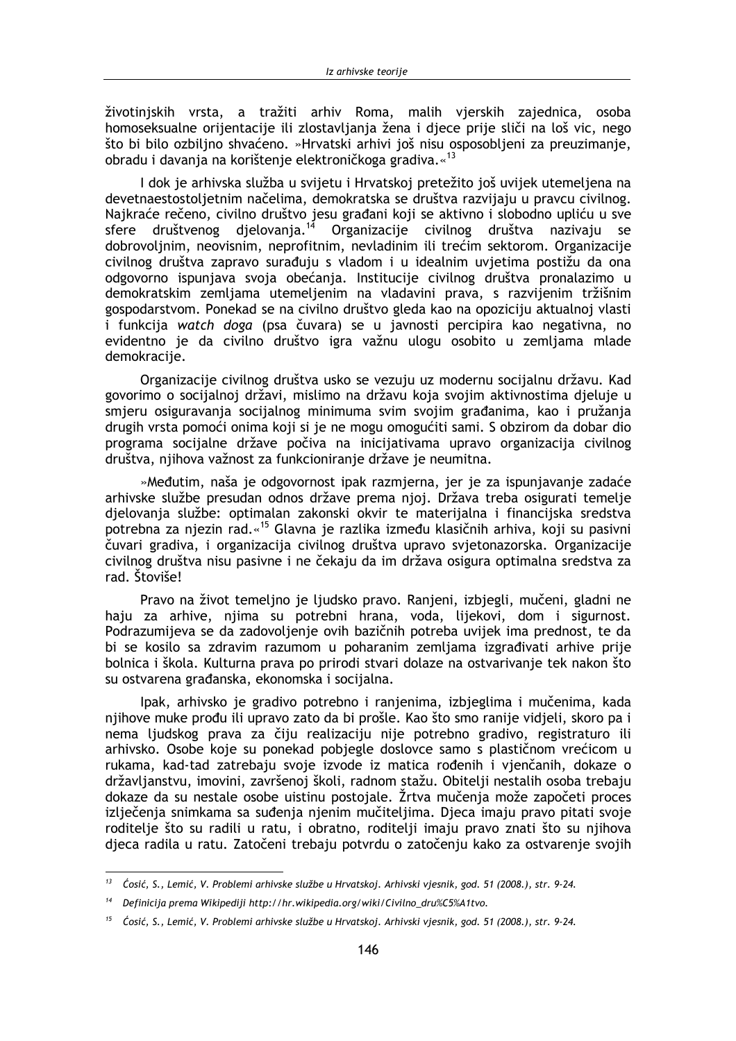životinjskih vrsta, a tražiti arhiv Roma, malih vjerskih zajednica, osoba homoseksualne orijentacije ili zlostavljanja žena i djece prije sliči na loš vic, nego što bi bilo ozbiljno shvaćeno. »Hrvatski arhivi još nisu osposobljeni za preuzimanje, obradu i davanja na korištenje elektroničkoga gradiva.«13

I dok je arhivska služba u svijetu i Hrvatskoj pretežito još uvijek utemeljena na devetnaestostoljetnim načelima, demokratska se društva razvijaju u pravcu civilnog. Najkraće rečeno, civilno društvo jesu građani koji se aktivno i slobodno upliću u sve društvenog djelovanja.<sup>14</sup> Organizacije civilnog društva nazivaju se sfere dobrovoljnim, neovisnim, neprofitnim, nevladinim ili trećim sektorom. Organizacije civilnog društva zapravo surađuju s vladom i u idealnim uvjetima postižu da ona odgovorno ispunjava svoja obećanja. Institucije civilnog društva pronalazimo u demokratskim zemljama utemeljenim na vladavini prava, s razvijenim tržišnim gospodarstvom. Ponekad se na civilno društvo gleda kao na opoziciju aktualnoj vlasti i funkcija watch doga (psa čuvara) se u javnosti percipira kao negativna, no evidentno je da civilno društvo igra važnu ulogu osobito u zemljama mlade demokracije.

Organizacije civilnog društva usko se vezuju uz modernu socijalnu državu. Kad govorimo o socijalnoj državi, mislimo na državu koja svojim aktivnostima djeluje u smjeru osiguravanja socijalnog minimuma svim svojim građanima, kao i pružanja drugih vrsta pomoći onima koji si je ne mogu omogućiti sami. S obzirom da dobar dio programa socijalne države počiva na inicijativama upravo organizacija civilnog društva, njihova važnost za funkcioniranje države je neumitna.

»Međutim, naša je odgovornost ipak razmjerna, jer je za ispunjavanje zadaće arhivske službe presudan odnos države prema njoj. Država treba osigurati temelje djelovanja službe: optimalan zakonski okvir te materijalna i financijska sredstva potrebna za njezin rad.«<sup>15</sup> Glavna je razlika između klasičnih arhiva, koji su pasivni čuvari gradiva, i organizacija civilnog društva upravo svjetonazorska. Organizacije civilnog društva nisu pasivne i ne čekaju da im država osigura optimalna sredstva za rad. Štoviše!

Pravo na život temelino je ljudsko pravo. Ranjeni, izbiegli, mučeni, gladni ne haju za arhive, njima su potrebni hrana, voda, lijekovi, dom i sigurnost. Podrazumijeva se da zadovoljenje ovih bazičnih potreba uvijek ima prednost, te da bi se kosilo sa zdravim razumom u poharanim zemljama izgrađivati arhive prije bolnica i škola. Kulturna prava po prirodi stvari dolaze na ostvarivanje tek nakon što su ostvarena građanska, ekonomska i socijalna.

Ipak, arhivsko je gradivo potrebno i ranjenima, izbjeglima i mučenima, kada njihove muke prođu ili upravo zato da bi prošle. Kao što smo ranije vidjeli, skoro pa i nema ljudskog prava za čiju realizaciju nije potrebno gradivo, registraturo ili arhivsko. Osobe koje su ponekad pobjegle doslovce samo s plastičnom vrećicom u rukama, kad-tad zatrebaju svoje izvode iz matica rođenih i vjenčanih, dokaze o državljanstvu, imovini, završenoj školi, radnom stažu. Obitelji nestalih osoba trebaju dokaze da su nestale osobe uistinu postojale. Žrtva mučenja može započeti proces izlječenja snimkama sa suđenja njenim mučiteljima. Djeca imaju pravo pitati svoje roditelje što su radili u ratu, i obratno, roditelji imaju pravo znati što su njihova djeca radila u ratu. Zatočeni trebaju potvrdu o zatočenju kako za ostvarenje svojih

<sup>&</sup>lt;sup>13</sup> Ćosić, S., Lemić, V. Problemi arhivske službe u Hrvatskoj. Arhivski vjesnik, god. 51 (2008.), str. 9-24.

<sup>&</sup>lt;sup>14</sup> Definicija prema Wikipediji http://hr.wikipedia.org/wiki/Civilno\_dru%C5%A1tvo.

<sup>&</sup>lt;sup>15</sup> Ćosić, S., Lemić, V. Problemi arhivske službe u Hrvatskoj. Arhivski vjesnik, god. 51 (2008.), str. 9-24.